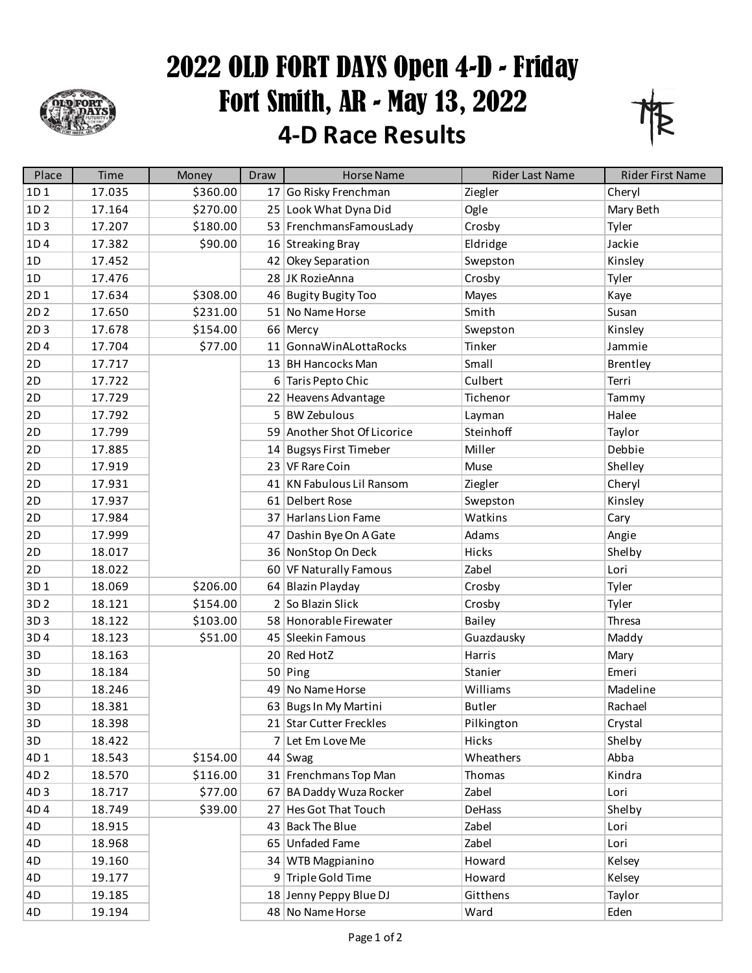

## 2022 OLD FORT DAYS Open 4-D - Friday Fort Smith, AR - May 13, 2022 **4-D Race Results**



| Place           | Time   | Money    | Draw | <b>Horse Name</b>           | <b>Rider Last Name</b> | <b>Rider First Name</b> |
|-----------------|--------|----------|------|-----------------------------|------------------------|-------------------------|
| 1D1             | 17.035 | \$360.00 |      | 17 Go Risky Frenchman       | Ziegler                | Cheryl                  |
| 1D <sub>2</sub> | 17.164 | \$270.00 |      | 25 Look What Dyna Did       | Ogle                   | Mary Beth               |
| 1D <sub>3</sub> | 17.207 | \$180.00 |      | 53 FrenchmansFamousLady     | Crosby                 | Tyler                   |
| 1D4             | 17.382 | \$90.00  |      | 16 Streaking Bray           | Eldridge               | Jackie                  |
| 1D              | 17.452 |          |      | 42 Okey Separation          | Swepston               | Kinsley                 |
| 1D              | 17.476 |          |      | 28 JK RozieAnna             | Crosby                 | Tyler                   |
| 2D1             | 17.634 | \$308.00 |      | 46 Bugity Bugity Too        | Mayes                  | Kaye                    |
| 2D <sub>2</sub> | 17.650 | \$231.00 |      | 51 No Name Horse            | Smith                  | Susan                   |
| 2D <sub>3</sub> | 17.678 | \$154.00 |      | 66 Mercy                    | Swepston               | Kinsley                 |
| 2D4             | 17.704 | \$77.00  |      | 11 GonnaWinALottaRocks      | Tinker                 | Jammie                  |
| 2D              | 17.717 |          |      | 13 BH Hancocks Man          | Small                  | Brentley                |
| 2D              | 17.722 |          |      | 6 Taris Pepto Chic          | Culbert                | Terri                   |
| 2D              | 17.729 |          |      | 22 Heavens Advantage        | Tichenor               | Tammy                   |
| 2D              | 17.792 |          |      | 5 BW Zebulous               | Layman                 | Halee                   |
| 2D              | 17.799 |          |      | 59 Another Shot Of Licorice | Steinhoff              | Taylor                  |
| 2D              | 17.885 |          |      | 14 Bugsys First Timeber     | Miller                 | Debbie                  |
| 2D              | 17.919 |          |      | 23 VF Rare Coin             | Muse                   | Shelley                 |
| 2D              | 17.931 |          |      | 41 KN Fabulous Lil Ransom   | Ziegler                | Cheryl                  |
| 2D              | 17.937 |          |      | 61 Delbert Rose             | Swepston               | Kinsley                 |
| 2D              | 17.984 |          |      | 37 Harlans Lion Fame        | Watkins                | Cary                    |
| 2D              | 17.999 |          |      | 47 Dashin Bye On A Gate     | Adams                  | Angie                   |
| 2D              | 18.017 |          |      | 36 NonStop On Deck          | Hicks                  | Shelby                  |
| 2D              | 18.022 |          |      | 60 VF Naturally Famous      | Zabel                  | Lori                    |
| 3D1             | 18.069 | \$206.00 |      | 64 Blazin Playday           | Crosby                 | Tyler                   |
| 3D <sub>2</sub> | 18.121 | \$154.00 |      | 2 So Blazin Slick           | Crosby                 | Tyler                   |
| 3D3             | 18.122 | \$103.00 |      | 58 Honorable Firewater      | Bailey                 | Thresa                  |
| 3D4             | 18.123 | \$51.00  |      | 45 Sleekin Famous           | Guazdausky             | Maddy                   |
| 3D              | 18.163 |          |      | 20 Red HotZ                 | Harris                 | Mary                    |
| 3D              | 18.184 |          |      | $50$ Ping                   | Stanier                | Emeri                   |
| 3D              | 18.246 |          |      | 49 No Name Horse            | Williams               | Madeline                |
| 3D              | 18.381 |          |      | 63 Bugs In My Martini       | <b>Butler</b>          | Rachael                 |
| 3D              | 18.398 |          |      | 21 Star Cutter Freckles     | Pilkington             | Crystal                 |
| 3D              | 18.422 |          |      | 7 Let Em Love Me            | Hicks                  | Shelby                  |
| 4D1             | 18.543 | \$154.00 |      | $44$ Swag                   | Wheathers              | Abba                    |
| 4D <sub>2</sub> | 18.570 | \$116.00 |      | 31 Frenchmans Top Man       | Thomas                 | Kindra                  |
| 4D3             | 18.717 | \$77.00  |      | 67 BA Daddy Wuza Rocker     | Zabel                  | Lori                    |
| 4D4             | 18.749 | \$39.00  |      | 27 Hes Got That Touch       | DeHass                 | Shelby                  |
| 4D              | 18.915 |          |      | 43 Back The Blue            | Zabel                  | Lori                    |
| 4D              | 18.968 |          |      | 65 Unfaded Fame             | Zabel                  | Lori                    |
| 4D              | 19.160 |          |      | 34 WTB Magpianino           | Howard                 | Kelsey                  |
| 4D              | 19.177 |          |      | 9 Triple Gold Time          | Howard                 | Kelsey                  |
| 4D              | 19.185 |          |      | 18 Jenny Peppy Blue DJ      | Gitthens               | Taylor                  |
| 4D              | 19.194 |          |      | 48 No Name Horse            | Ward                   | Eden                    |
|                 |        |          |      |                             |                        |                         |